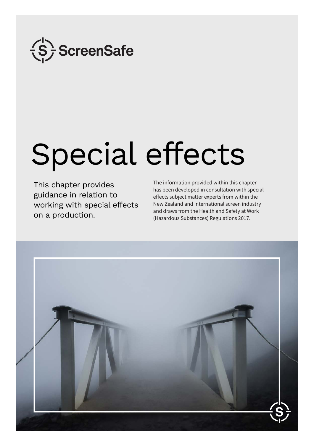

# Special effects

This chapter provides guidance in relation to working with special effects on a production.

The information provided within this chapter has been developed in consultation with special effects subject matter experts from within the New Zealand and international screen industry and draws from the Health and Safety at Work (Hazardous Substances) Regulations 2017.

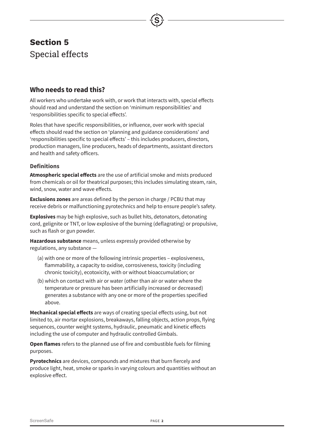# **Who needs to read this?**

All workers who undertake work with, or work that interacts with, special effects should read and understand the section on 'minimum responsibilities' and 'responsibilities specific to special effects'.

Roles that have specific responsibilities, or influence, over work with special effects should read the section on 'planning and guidance considerations' and 'responsibilities specific to special effects' – this includes producers, directors, production managers, line producers, heads of departments, assistant directors and health and safety officers.

### **Definitions**

**Atmospheric special effects** are the use of artificial smoke and mists produced from chemicals or oil for theatrical purposes; this includes simulating steam, rain, wind, snow, water and wave effects.

**Exclusions zones** are areas defined by the person in charge / PCBU that may receive debris or malfunctioning pyrotechnics and help to ensure people's safety.

**Explosives** may be high explosive, such as bullet hits, detonators, detonating cord, gelignite or TNT, or low explosive of the burning (deflagrating) or propulsive, such as flash or gun powder.

**Hazardous substance** means, unless expressly provided otherwise by regulations, any substance —

- (a) with one or more of the following intrinsic properties explosiveness, flammability, a capacity to oxidise, corrosiveness, toxicity (including chronic toxicity), ecotoxicity, with or without bioaccumulation; or
- (b) which on contact with air or water (other than air or water where the temperature or pressure has been artificially increased or decreased) generates a substance with any one or more of the properties specified above.

**Mechanical special effects** are ways of creating special effects using, but not limited to, air mortar explosions, breakaways, falling objects, action props, flying sequences, counter weight systems, hydraulic, pneumatic and kinetic effects including the use of computer and hydraulic controlled Gimbals.

**Open flames** refers to the planned use of fire and combustible fuels for filming purposes.

**Pyrotechnics** are devices, compounds and mixtures that burn fiercely and produce light, heat, smoke or sparks in varying colours and quantities without an explosive effect.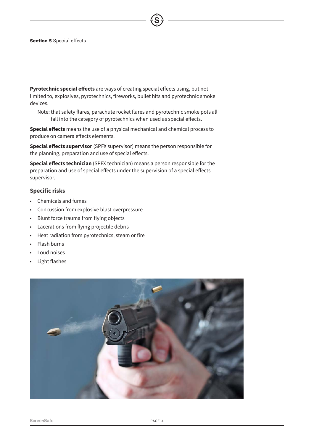**Pyrotechnic special effects** are ways of creating special effects using, but not limited to, explosives, pyrotechnics, fireworks, bullet hits and pyrotechnic smoke devices.

Note: that safety flares, parachute rocket flares and pyrotechnic smoke pots all fall into the category of pyrotechnics when used as special effects.

**Special effects** means the use of a physical mechanical and chemical process to produce on camera effects elements.

**Special effects supervisor** (SPFX supervisor) means the person responsible for the planning, preparation and use of special effects.

**Special effects technician** (SPFX technician) means a person responsible for the preparation and use of special effects under the supervision of a special effects supervisor.

### **Specific risks**

- Chemicals and fumes
- Concussion from explosive blast overpressure
- Blunt force trauma from flying objects
- Lacerations from flying projectile debris
- Heat radiation from pyrotechnics, steam or fire
- Flash burns
- Loud noises
- Light flashes

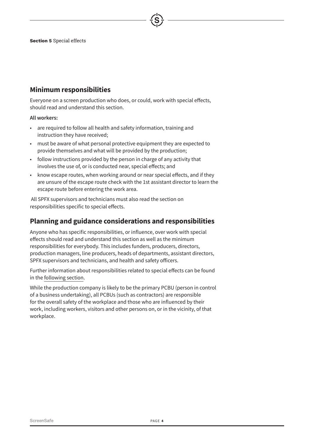# **Minimum responsibilities**

Everyone on a screen production who does, or could, work with special effects, should read and understand this section.

### **All workers:**

- are required to follow all health and safety information, training and instruction they have received;
- must be aware of what personal protective equipment they are expected to provide themselves and what will be provided by the production;
- follow instructions provided by the person in charge of any activity that involves the use of, or is conducted near, special effects; and
- know escape routes, when working around or near special effects, and if they are unsure of the escape route check with the 1st assistant director to learn the escape route before entering the work area.

 All SPFX supervisors and technicians must also read the section on responsibilities specific to special effects.

## **Planning and guidance considerations and responsibilities**

Anyone who has specific responsibilities, or influence, over work with special effects should read and understand this section as well as the minimum responsibilities for everybody. This includes funders, producers, directors, production managers, line producers, heads of departments, assistant directors, SPFX supervisors and technicians, and health and safety officers.

Further information about responsibilities related to special effects can be found in the [following section](#page-7-0).

While the production company is likely to be the primary PCBU (person in control of a business undertaking), all PCBUs (such as contractors) are responsible for the overall safety of the workplace and those who are influenced by their work, including workers, visitors and other persons on, or in the vicinity, of that workplace.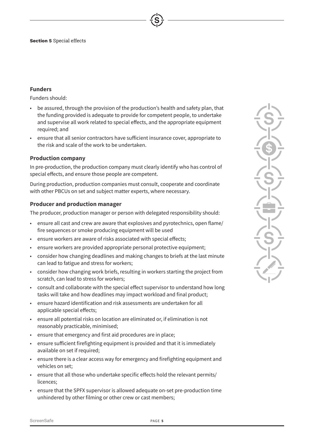### **Funders**

Funders should:

- be assured, through the provision of the production's health and safety plan, that the funding provided is adequate to provide for competent people, to undertake and supervise all work related to special effects, and the appropriate equipment required; and
- ensure that all senior contractors have sufficient insurance cover, appropriate to the risk and scale of the work to be undertaken.

### **Production company**

In pre-production, the production company must clearly identify who has control of special effects, and ensure those people are competent.

During production, production companies must consult, cooperate and coordinate with other PBCUs on set and subject matter experts, where necessary.

### **Producer and production manager**

The producer, production manager or person with delegated responsibility should:

- ensure all cast and crew are aware that explosives and pyrotechnics, open flame/ fire sequences or smoke producing equipment will be used
- ensure workers are aware of risks associated with special effects;
- ensure workers are provided appropriate personal protective equipment;
- consider how changing deadlines and making changes to briefs at the last minute can lead to fatigue and stress for workers;
- consider how changing work briefs, resulting in workers starting the project from scratch, can lead to stress for workers;
- consult and collaborate with the special effect supervisor to understand how long tasks will take and how deadlines may impact workload and final product;
- ensure hazard identification and risk assessments are undertaken for all applicable special effects;
- ensure all potential risks on location are eliminated or, if elimination is not reasonably practicable, minimised;
- ensure that emergency and first aid procedures are in place;
- ensure sufficient firefighting equipment is provided and that it is immediately available on set if required;
- ensure there is a clear access way for emergency and firefighting equipment and vehicles on set;
- ensure that all those who undertake specific effects hold the relevant permits/ licences;
- ensure that the SPFX supervisor is allowed adequate on-set pre-production time unhindered by other filming or other crew or cast members;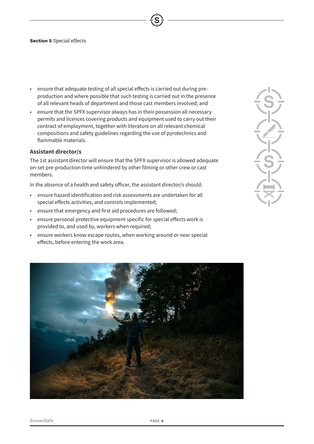- ensure that adequate testing of all special effects is carried out during preproduction and where possible that such testing is carried out in the presence of all relevant heads of department and those cast members involved; and
- ensure that the SPFX supervisor always has in their possession all necessary permits and licences covering products and equipment used to carry out their contract of employment, together with literature on all relevant chemical compositions and safety guidelines regarding the use of pyrotechnics and flammable materials.

### **Assistant director/s**

The 1st assistant director will ensure that the SPFX supervisor is allowed adequate on-set pre-production time unhindered by other filming or other crew or cast members.

In the absence of a health and safety officer, the assistant director/s should:

- ensure hazard identification and risk assessments are undertaken for all special effects activities, and controls implemented;
- ensure that emergency and first aid procedures are followed;
- ensure personal protective equipment specific for special effects work is provided to, and used by, workers when required;
- ensure workers know escape routes, when working around or near special effects, before entering the work area.

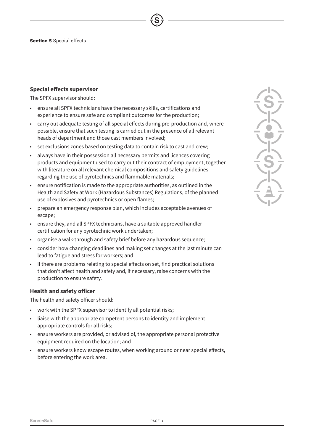### **Special effects supervisor**

The SPFX supervisor should:

- ensure all SPFX technicians have the necessary skills, certifications and experience to ensure safe and compliant outcomes for the production;
- carry out adequate testing of all special effects during pre-production and, where possible, ensure that such testing is carried out in the presence of all relevant heads of department and those cast members involved;
- set exclusions zones based on testing data to contain risk to cast and crew;
- always have in their possession all necessary permits and licences covering products and equipment used to carry out their contract of employment, together with literature on all relevant chemical compositions and safety guidelines regarding the use of pyrotechnics and flammable materials;
- ensure notification is made to the appropriate authorities, as outlined in the Health and Safety at Work (Hazardous Substances) Regulations, of the planned use of explosives and pyrotechnics or open flames;
- prepare an emergency response plan, which includes acceptable avenues of escape;
- ensure they, and all SPFX technicians, have a suitable approved handler certification for any pyrotechnic work undertaken;
- organise a [walk-through and safety brief](#page-7-1) before any hazardous sequence;
- consider how changing deadlines and making set changes at the last minute can lead to fatigue and stress for workers; and
- if there are problems relating to special effects on set, find practical solutions that don't affect health and safety and, if necessary, raise concerns with the production to ensure safety.

### **Health and safety officer**

The health and safety officer should:

- work with the SPFX supervisor to identify all potential risks;
- liaise with the appropriate competent persons to identity and implement appropriate controls for all risks;
- ensure workers are provided, or advised of, the appropriate personal protective equipment required on the location; and
- ensure workers know escape routes, when working around or near special effects, before entering the work area.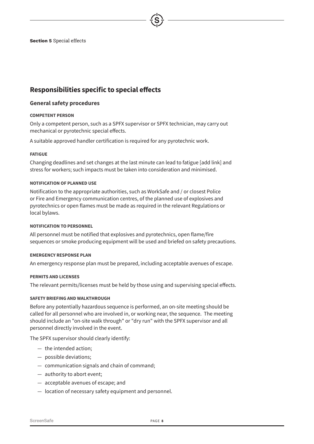# <span id="page-7-0"></span>**Responsibilities specific to special effects**

### **General safety procedures**

### **COMPETENT PERSON**

Only a competent person, such as a SPFX supervisor or SPFX technician, may carry out mechanical or pyrotechnic special effects.

A suitable approved handler certification is required for any pyrotechnic work.

### **FATIGUE**

Changing deadlines and set changes at the last minute can lead to fatigue [add link] and stress for workers; such impacts must be taken into consideration and minimised.

### **NOTIFICATION OF PLANNED USE**

Notification to the appropriate authorities, such as WorkSafe and / or closest Police or Fire and Emergency communication centres, of the planned use of explosives and pyrotechnics or open flames must be made as required in the relevant Regulations or local bylaws.

### **NOTIFICATION TO PERSONNEL**

All personnel must be notified that explosives and pyrotechnics, open flame/fire sequences or smoke producing equipment will be used and briefed on safety precautions.

### **EMERGENCY RESPONSE PLAN**

An emergency response plan must be prepared, including acceptable avenues of escape.

### **PERMITS AND LICENSES**

The relevant permits/licenses must be held by those using and supervising special effects.

### <span id="page-7-1"></span>**SAFETY BRIEFING AND WALKTHROUGH**

Before any potentially hazardous sequence is performed, an on-site meeting should be called for all personnel who are involved in, or working near, the sequence. The meeting should include an "on-site walk through" or "dry run" with the SPFX supervisor and all personnel directly involved in the event.

The SPFX supervisor should clearly identify:

- ― the intended action;
- ― possible deviations;
- ― communication signals and chain of command;
- ― authority to abort event;
- ― acceptable avenues of escape; and
- ― location of necessary safety equipment and personnel.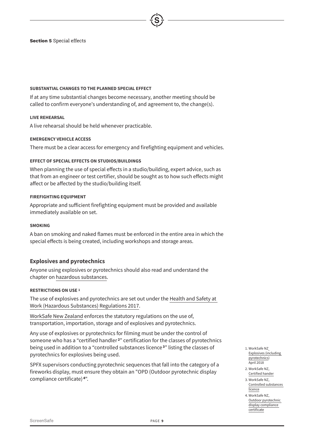### **SUBSTANTIAL CHANGES TO THE PLANNED SPECIAL EFFECT**

If at any time substantial changes become necessary, another meeting should be called to confirm everyone's understanding of, and agreement to, the change(s).

### **LIVE REHEARSAL**

A live rehearsal should be held whenever practicable.

### **EMERGENCY VEHICLE ACCESS**

There must be a clear access for emergency and firefighting equipment and vehicles.

### **EFFECT OF SPECIAL EFFECTS ON STUDIOS/BUILDINGS**

When planning the use of special effects in a studio/building, expert advice, such as that from an engineer or test certifier, should be sought as to how such effects might affect or be affected by the studio/building itself.

### **FIREFIGHTING EQUIPMENT**

Appropriate and sufficient firefighting equipment must be provided and available immediately available on set.

### **SMOKING**

A ban on smoking and naked flames must be enforced in the entire area in which the special effects is being created, including workshops and storage areas.

### **Explosives and pyrotechnics**

Anyone using explosives or pyrotechnics should also read and understand the chapter on [hazardous substances](file:/Users/design2/Documents/Design/SCREENS001_Identity/Artwork/Guidelines_August_2018/ScreenSafe_HazardousSubstances.pdf).

### **RESTRICTIONS ON USE 1**

The use of explosives and pyrotechnics are set out under the [Health and Safety at](http://www.legislation.govt.nz/regulation/public/2017/0131/latest/DLM7309401.html?src=qs)  [Work \(Hazardous Substances\) Regulations 2017.](http://www.legislation.govt.nz/regulation/public/2017/0131/latest/DLM7309401.html?src=qs)

[WorkSafe New Zealand](https://worksafe.govt.nz/topic-and-industry/hazardous-substances/guidance/substances/explosives/) enforces the statutory regulations on the use of, transportation, importation, storage and of explosives and pyrotechnics.

Any use of explosives or pyrotechnics for filming must be under the control of someone who has a "certified handler **<sup>2</sup>**" certification for the classes of pyrotechnics being used in addition to a "controlled substances licence **<sup>3</sup>**" listing the classes of pyrotechnics for explosives being used.

SPFX supervisors conducting pyrotechnic sequences that fall into the category of a fireworks display, must ensure they obtain an "OPD (Outdoor pyrotechnic display compliance certificate) **4**".

- 1. [WorkSafe NZ](https://worksafe.govt.nz/topic-and-industry/hazardous-substances/guidance/substances/explosives/) [Explosives \(including](https://worksafe.govt.nz/topic-and-industry/hazardous-substances/guidance/substances/explosives/)  [pyrotechnics](https://worksafe.govt.nz/topic-and-industry/hazardous-substances/guidance/substances/explosives/)) **April 2018**
- 2. WorkSafe NZ, [Certified hander](https://worksafe.govt.nz/topic-and-industry/hazardous-substances/certification-authorisation-approvals-and-licensing/certification-of-people/certified-handlers/)
- 3. WorkSafe NZ, [Controlled substances](https://worksafe.govt.nz/topic-and-industry/hazardous-substances/certification-authorisation-approvals-and-licensing/certification-of-people/controlled-substances-licences/)  **[licence](https://worksafe.govt.nz/topic-and-industry/hazardous-substances/certification-authorisation-approvals-and-licensing/certification-of-people/controlled-substances-licences/)**
- 4. WorkSafe NZ, [Outdoor pyrotechnic](https://worksafe.govt.nz/topic-and-industry/hazardous-substances/certification-authorisation-approvals-and-licensing/outdoor-pyrotechnic-display-compliance-certificates/)  [display compliance](https://worksafe.govt.nz/topic-and-industry/hazardous-substances/certification-authorisation-approvals-and-licensing/outdoor-pyrotechnic-display-compliance-certificates/)  [certificate](https://worksafe.govt.nz/topic-and-industry/hazardous-substances/certification-authorisation-approvals-and-licensing/outdoor-pyrotechnic-display-compliance-certificates/)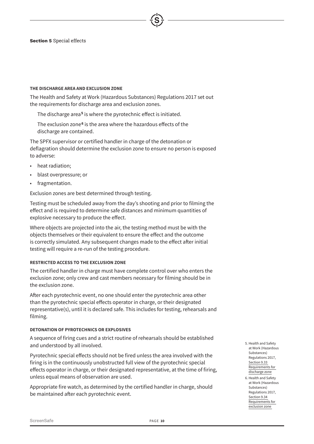### **THE DISCHARGE AREA AND EXCLUSION ZONE**

The Health and Safety at Work (Hazardous Substances) Regulations 2017 set out the requirements for discharge area and exclusion zones.

The discharge area **<sup>5</sup>** is where the pyrotechnic effect is initiated.

The exclusion zone<sup>6</sup> is the area where the hazardous effects of the discharge are contained.

The SPFX supervisor or certified handler in charge of the detonation or deflagration should determine the exclusion zone to ensure no person is exposed to adverse:

- heat radiation:
- blast overpressure; or
- fragmentation.

Exclusion zones are best determined through testing.

Testing must be scheduled away from the day's shooting and prior to filming the effect and is required to determine safe distances and minimum quantities of explosive necessary to produce the effect.

Where objects are projected into the air, the testing method must be with the objects themselves or their equivalent to ensure the effect and the outcome is correctly simulated. Any subsequent changes made to the effect after initial testing will require a re-run of the testing procedure.

### **RESTRICTED ACCESS TO THE EXCLUSION ZONE**

The certified handler in charge must have complete control over who enters the exclusion zone; only crew and cast members necessary for filming should be in the exclusion zone.

After each pyrotechnic event, no one should enter the pyrotechnic area other than the pyrotechnic special effects operator in charge, or their designated representative(s), until it is declared safe. This includes for testing, rehearsals and filming.

### **DETONATION OF PYROTECHNICS OR EXPLOSIVES**

A sequence of firing cues and a strict routine of rehearsals should be established and understood by all involved.

Pyrotechnic special effects should not be fired unless the area involved with the firing is in the continuously unobstructed full view of the pyrotechnic special effects operator in charge, or their designated representative, at the time of firing, unless equal means of observation are used.

Appropriate fire watch, as determined by the certified handler in charge, should be maintained after each pyrotechnic event.

- 5. Health and Safety at Work (Hazardous Substances) Regulations 2017, [Section 9.33](http://www.legislation.govt.nz/regulation/public/2017/0131/latest/DLM7309961.html?search=sw_096be8ed817093a5_exclusions+zone_25_se&p=1)  [Requirements for](http://www.legislation.govt.nz/regulation/public/2017/0131/latest/DLM7309961.html?search=sw_096be8ed817093a5_exclusions+zone_25_se&p=1)  [discharge zone](http://www.legislation.govt.nz/regulation/public/2017/0131/latest/DLM7309961.html?search=sw_096be8ed817093a5_exclusions+zone_25_se&p=1)
- 6. Health and Safety at Work (Hazardous Substances) Regulations 2017, [Section 9.34](http://www.legislation.govt.nz/regulation/public/2017/0131/latest/DLM7309962.html?search=sw_096be8ed817093a5_exclusions+zone_25_se&p=1)  [Requirements for](http://www.legislation.govt.nz/regulation/public/2017/0131/latest/DLM7309962.html?search=sw_096be8ed817093a5_exclusions+zone_25_se&p=1)  [exclusion zone](http://www.legislation.govt.nz/regulation/public/2017/0131/latest/DLM7309962.html?search=sw_096be8ed817093a5_exclusions+zone_25_se&p=1)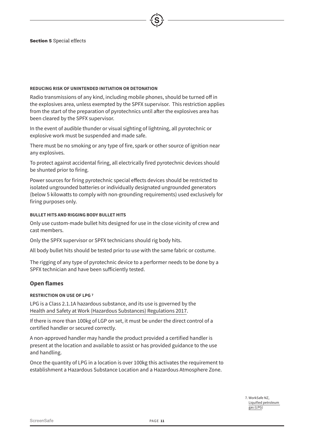### **REDUCING RISK OF UNINTENDED INITIATION OR DETONATION**

Radio transmissions of any kind, including mobile phones, should be turned off in the explosives area, unless exempted by the SPFX supervisor. This restriction applies from the start of the preparation of pyrotechnics until after the explosives area has been cleared by the SPFX supervisor.

In the event of audible thunder or visual sighting of lightning, all pyrotechnic or explosive work must be suspended and made safe.

There must be no smoking or any type of fire, spark or other source of ignition near any explosives.

To protect against accidental firing, all electrically fired pyrotechnic devices should be shunted prior to firing.

Power sources for firing pyrotechnic special effects devices should be restricted to isolated ungrounded batteries or individually designated ungrounded generators (below 5 kilowatts to comply with non-grounding requirements) used exclusively for firing purposes only.

### **BULLET HITS AND RIGGING BODY BULLET HITS**

Only use custom-made bullet hits designed for use in the close vicinity of crew and cast members.

Only the SPFX supervisor or SPFX technicians should rig body hits.

All body bullet hits should be tested prior to use with the same fabric or costume.

The rigging of any type of pyrotechnic device to a performer needs to be done by a SPFX technician and have been sufficiently tested.

### **Open flames**

### **RESTRICTION ON USE OF LPG 7**

LPG is a Class 2.1.1A hazardous substance, and its use is governed by the [Health and Safety at Work \(Hazardous Substances\) Regulations 2017](http://www.legislation.govt.nz/regulation/public/2017/0131/25.0/DLM7309401.html).

If there is more than 100kg of LGP on set, it must be under the direct control of a certified handler or secured correctly.

A non-approved handler may handle the product provided a certified handler is present at the location and available to assist or has provided guidance to the use and handling.

Once the quantity of LPG in a location is over 100kg this activates the requirement to establishment a Hazardous Substance Location and a Hazardous Atmosphere Zone.

> 7. WorkSafe NZ, [Liquified petroleum](https://worksafe.govt.nz/topic-and-industry/hazardous-substances/guidance/substances/liquified-petroleum-gas-lpg/)  [gas \(LPG\)](https://worksafe.govt.nz/topic-and-industry/hazardous-substances/guidance/substances/liquified-petroleum-gas-lpg/)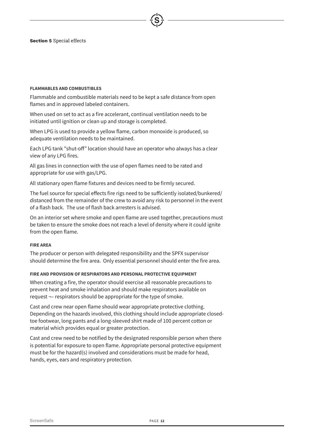### **FLAMMABLES AND COMBUSTIBLES**

Flammable and combustible materials need to be kept a safe distance from open flames and in approved labeled containers.

When used on set to act as a fire accelerant, continual ventilation needs to be initiated until ignition or clean up and storage is completed.

When LPG is used to provide a yellow flame, carbon monoxide is produced, so adequate ventilation needs to be maintained.

Each LPG tank "shut-off" location should have an operator who always has a clear view of any LPG fires.

All gas lines in connection with the use of open flames need to be rated and appropriate for use with gas/LPG.

All stationary open flame fixtures and devices need to be firmly secured.

The fuel source for special effects fire rigs need to be sufficiently isolated/bunkered/ distanced from the remainder of the crew to avoid any risk to personnel in the event of a flash back. The use of flash back arresters is advised.

On an interior set where smoke and open flame are used together, precautions must be taken to ensure the smoke does not reach a level of density where it could ignite from the open flame.

### **FIRE AREA**

The producer or person with delegated responsibility and the SPFX supervisor should determine the fire area. Only essential personnel should enter the fire area.

### **FIRE AND PROVISION OF RESPIRATORS AND PERSONAL PROTECTIVE EQUIPMENT**

When creating a fire, the operator should exercise all reasonable precautions to prevent heat and smoke inhalation and should make respirators available on request ¬– respirators should be appropriate for the type of smoke.

Cast and crew near open flame should wear appropriate protective clothing. Depending on the hazards involved, this clothing should include appropriate closedtoe footwear, long pants and a long-sleeved shirt made of 100 percent cotton or material which provides equal or greater protection.

Cast and crew need to be notified by the designated responsible person when there is potential for exposure to open flame. Appropriate personal protective equipment must be for the hazard(s) involved and considerations must be made for head, hands, eyes, ears and respiratory protection.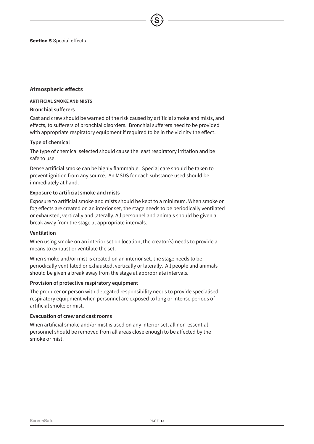### **Atmospheric effects**

### **ARTIFICIAL SMOKE AND MISTS**

### **Bronchial sufferers**

Cast and crew should be warned of the risk caused by artificial smoke and mists, and effects, to sufferers of bronchial disorders. Bronchial sufferers need to be provided with appropriate respiratory equipment if required to be in the vicinity the effect.

### **Type of chemical**

The type of chemical selected should cause the least respiratory irritation and be safe to use.

Dense artificial smoke can be highly flammable. Special care should be taken to prevent ignition from any source. An MSDS for each substance used should be immediately at hand.

### **Exposure to artificial smoke and mists**

Exposure to artificial smoke and mists should be kept to a minimum. When smoke or fog effects are created on an interior set, the stage needs to be periodically ventilated or exhausted, vertically and laterally. All personnel and animals should be given a break away from the stage at appropriate intervals.

### **Ventilation**

When using smoke on an interior set on location, the creator(s) needs to provide a means to exhaust or ventilate the set.

When smoke and/or mist is created on an interior set, the stage needs to be periodically ventilated or exhausted, vertically or laterally. All people and animals should be given a break away from the stage at appropriate intervals.

### **Provision of protective respiratory equipment**

The producer or person with delegated responsibility needs to provide specialised respiratory equipment when personnel are exposed to long or intense periods of artificial smoke or mist.

### **Evacuation of crew and cast rooms**

When artificial smoke and/or mist is used on any interior set, all non-essential personnel should be removed from all areas close enough to be affected by the smoke or mist.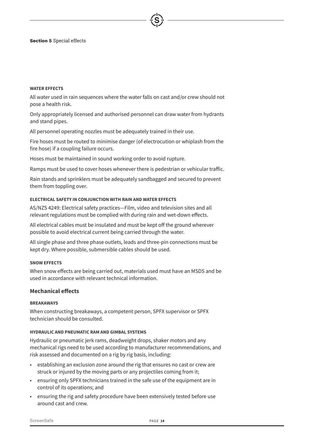### **WATER EFFECTS**

All water used in rain sequences where the water falls on cast and/or crew should not pose a health risk.

Only appropriately licensed and authorised personnel can draw water from hydrants and stand pipes.

All personnel operating nozzles must be adequately trained in their use.

Fire hoses must be routed to minimise danger (of electrocution or whiplash from the fire hose) if a coupling failure occurs.

Hoses must be maintained in sound working order to avoid rupture.

Ramps must be used to cover hoses whenever there is pedestrian or vehicular traffic.

Rain stands and sprinklers must be adequately sandbagged and secured to prevent them from toppling over.

### **ELECTRICAL SAFETY IN CONJUNCTION WITH RAIN AND WATER EFFECTS**

AS/NZS 4249: Electrical safety practices—Film, video and television sites and all relevant regulations must be complied with during rain and wet-down effects.

All electrical cables must be insulated and must be kept off the ground wherever possible to avoid electrical current being carried through the water.

All single phase and three phase outlets, leads and three-pin connections must be kept dry. Where possible, submersible cables should be used.

### **SNOW EFFECTS**

When snow effects are being carried out, materials used must have an MSDS and be used in accordance with relevant technical information.

### **Mechanical effects**

### **BREAKAWAYS**

When constructing breakaways, a competent person, SPFX supervisor or SPFX technician should be consulted.

### **HYDRAULIC AND PNEUMATIC RAM AND GIMBAL SYSTEMS**

Hydraulic or pneumatic jerk rams, deadweight drops, shaker motors and any mechanical rigs need to be used according to manufacturer recommendations, and risk assessed and documented on a rig by rig basis, including:

- establishing an exclusion zone around the rig that ensures no cast or crew are struck or injured by the moving parts or any projectiles coming from it;
- ensuring only SPFX technicians trained in the safe use of the equipment are in control of its operations; and
- ensuring the rig and safety procedure have been extensively tested before use around cast and crew.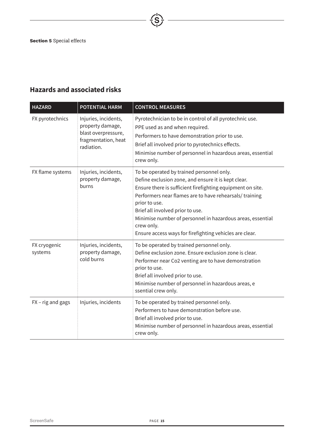# **Hazards and associated risks**

| <b>HAZARD</b>           | <b>POTENTIAL HARM</b>                                                                                | <b>CONTROL MEASURES</b>                                                                                                                                                                                                                                                                                                                                                                                               |
|-------------------------|------------------------------------------------------------------------------------------------------|-----------------------------------------------------------------------------------------------------------------------------------------------------------------------------------------------------------------------------------------------------------------------------------------------------------------------------------------------------------------------------------------------------------------------|
| FX pyrotechnics         | Injuries, incidents,<br>property damage,<br>blast overpressure,<br>fragmentation, heat<br>radiation. | Pyrotechnician to be in control of all pyrotechnic use.<br>PPE used as and when required.<br>Performers to have demonstration prior to use.<br>Brief all involved prior to pyrotechnics effects.<br>Minimise number of personnel in hazardous areas, essential<br>crew only.                                                                                                                                          |
| FX flame systems        | Injuries, incidents,<br>property damage,<br>burns                                                    | To be operated by trained personnel only.<br>Define exclusion zone, and ensure it is kept clear.<br>Ensure there is sufficient firefighting equipment on site.<br>Performers near flames are to have rehearsals/ training<br>prior to use.<br>Brief all involved prior to use.<br>Minimise number of personnel in hazardous areas, essential<br>crew only.<br>Ensure access ways for firefighting vehicles are clear. |
| FX cryogenic<br>systems | Injuries, incidents,<br>property damage,<br>cold burns                                               | To be operated by trained personnel only.<br>Define exclusion zone. Ensure exclusion zone is clear.<br>Performer near Co2 venting are to have demonstration<br>prior to use.<br>Brief all involved prior to use.<br>Minimise number of personnel in hazardous areas, e<br>ssential crew only.                                                                                                                         |
| FX - rig and gags       | Injuries, incidents                                                                                  | To be operated by trained personnel only.<br>Performers to have demonstration before use.<br>Brief all involved prior to use.<br>Minimise number of personnel in hazardous areas, essential<br>crew only.                                                                                                                                                                                                             |

 $\overrightarrow{\left\langle S\right\rangle}$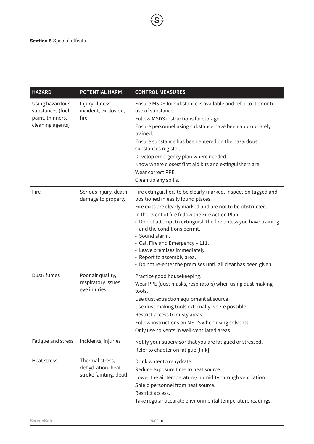| <b>HAZARD</b>                                                                | <b>POTENTIAL HARM</b>                                          | <b>CONTROL MEASURES</b>                                                                                                                                                                                                                                                                                                                                                                                                                                                                                           |
|------------------------------------------------------------------------------|----------------------------------------------------------------|-------------------------------------------------------------------------------------------------------------------------------------------------------------------------------------------------------------------------------------------------------------------------------------------------------------------------------------------------------------------------------------------------------------------------------------------------------------------------------------------------------------------|
| Using hazardous<br>substances (fuel,<br>paint, thinners,<br>cleaning agents) | Injury, illness,<br>incident, explosion,<br>fire               | Ensure MSDS for substance is available and refer to it prior to<br>use of substance.<br>Follow MSDS instructions for storage.<br>Ensure personnel using substance have been appropriately<br>trained.<br>Ensure substance has been entered on the hazardous<br>substances register.<br>Develop emergency plan where needed.<br>Know where closest first aid kits and extinguishers are.<br>Wear correct PPE.<br>Clean up any spills.                                                                              |
| Fire                                                                         | Serious injury, death,<br>damage to property                   | Fire extinguishers to be clearly marked, inspection tagged and<br>positioned in easily found places.<br>Fire exits are clearly marked and are not to be obstructed.<br>In the event of fire follow the Fire Action Plan-<br>• Do not attempt to extinguish the fire unless you have training<br>and the conditions permit.<br>· Sound alarm.<br>• Call Fire and Emergency - 111.<br>• Leave premises immediately.<br>• Report to assembly area.<br>• Do not re-enter the premises until all clear has been given. |
| Dust/ fumes                                                                  | Poor air quality,<br>respiratory issues,<br>eye injuries       | Practice good housekeeping.<br>Wear PPE (dust masks, respirators) when using dust-making<br>tools.<br>Use dust extraction equipment at source<br>Use dust-making tools externally where possible.<br>Restrict access to dusty areas.<br>Follow instructions on MSDS when using solvents.<br>Only use solvents in well-ventilated areas.                                                                                                                                                                           |
| Fatigue and stress                                                           | Incidents, injuries                                            | Notify your supervisor that you are fatigued or stressed.<br>Refer to chapter on fatigue [link].                                                                                                                                                                                                                                                                                                                                                                                                                  |
| Heat stress                                                                  | Thermal stress,<br>dehydration, heat<br>stroke fainting, death | Drink water to rehydrate.<br>Reduce exposure time to heat source.<br>Lower the air temperature/ humidity through ventilation.<br>Shield personnel from heat source.<br>Restrict access.<br>Take regular accurate environmental temperature readings.                                                                                                                                                                                                                                                              |

 $\overline{\overline{S}}$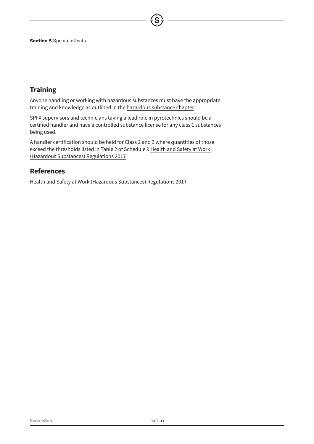# **Training**

Anyone handling or working with hazardous substances must have the appropriate training and knowledge as outlined in the [hazardous substance chapter](file:hazardous%20substance%20chapter).

SPFX supervisors and technicians taking a lead role in pyrotechnics should be a certified handler and have a controlled substance license for any class 1 substances being used.

A handler certification should be held for Class 2 and 3 where quantities of those exceed the thresholds listed in Table 2 of Schedule 9 [Health and Safety at Work](http://www.legislation.govt.nz/regulation/public/2017/0131/25.0/DLM7309401.html)  [\(Hazardous Substances\) Regulations 2017](http://www.legislation.govt.nz/regulation/public/2017/0131/25.0/DLM7309401.html)

# **References**

[Health and Safety at Work \(Hazardous Substances\) Regulations 2017](http://www.legislation.govt.nz/regulation/public/2017/0131/25.0/DLM7309401.html)